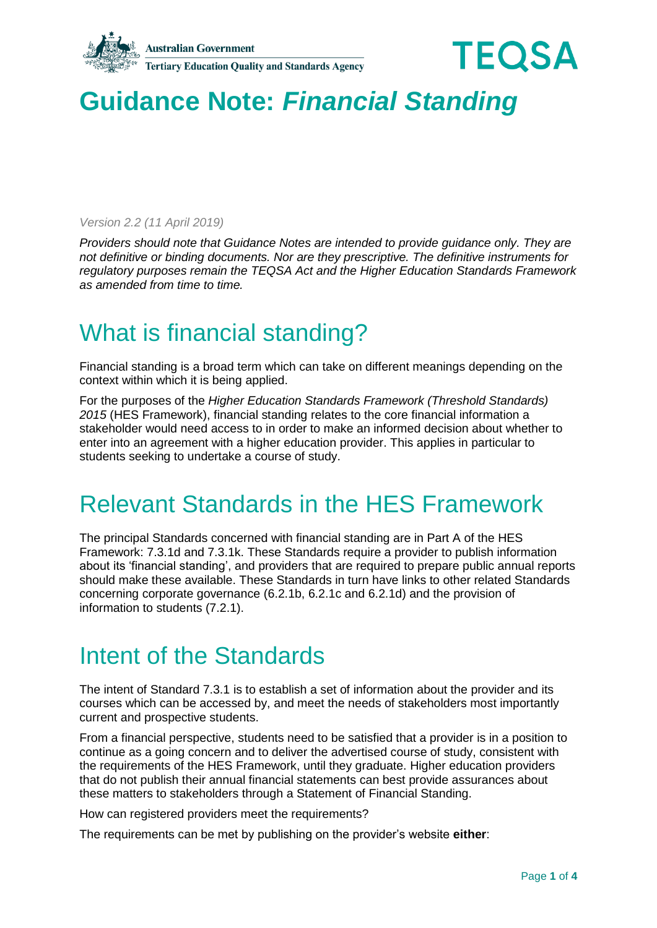



# **Guidance Note:** *Financial Standing*

*Version 2.2 (11 April 2019)*

*Providers should note that Guidance Notes are intended to provide guidance only. They are not definitive or binding documents. Nor are they prescriptive. The definitive instruments for regulatory purposes remain the TEQSA Act and the Higher Education Standards Framework as amended from time to time.*

# What is financial standing?

Financial standing is a broad term which can take on different meanings depending on the context within which it is being applied.

For the purposes of the *Higher Education Standards Framework (Threshold Standards) 2015* (HES Framework), financial standing relates to the core financial information a stakeholder would need access to in order to make an informed decision about whether to enter into an agreement with a higher education provider. This applies in particular to students seeking to undertake a course of study.

# Relevant Standards in the HES Framework

The principal Standards concerned with financial standing are in Part A of the HES Framework: 7.3.1d and 7.3.1k. These Standards require a provider to publish information about its 'financial standing', and providers that are required to prepare public annual reports should make these available. These Standards in turn have links to other related Standards concerning corporate governance (6.2.1b, 6.2.1c and 6.2.1d) and the provision of information to students (7.2.1).

## Intent of the Standards

The intent of Standard 7.3.1 is to establish a set of information about the provider and its courses which can be accessed by, and meet the needs of stakeholders most importantly current and prospective students.

From a financial perspective, students need to be satisfied that a provider is in a position to continue as a going concern and to deliver the advertised course of study, consistent with the requirements of the HES Framework, until they graduate. Higher education providers that do not publish their annual financial statements can best provide assurances about these matters to stakeholders through a Statement of Financial Standing.

How can registered providers meet the requirements?

The requirements can be met by publishing on the provider's website **either**: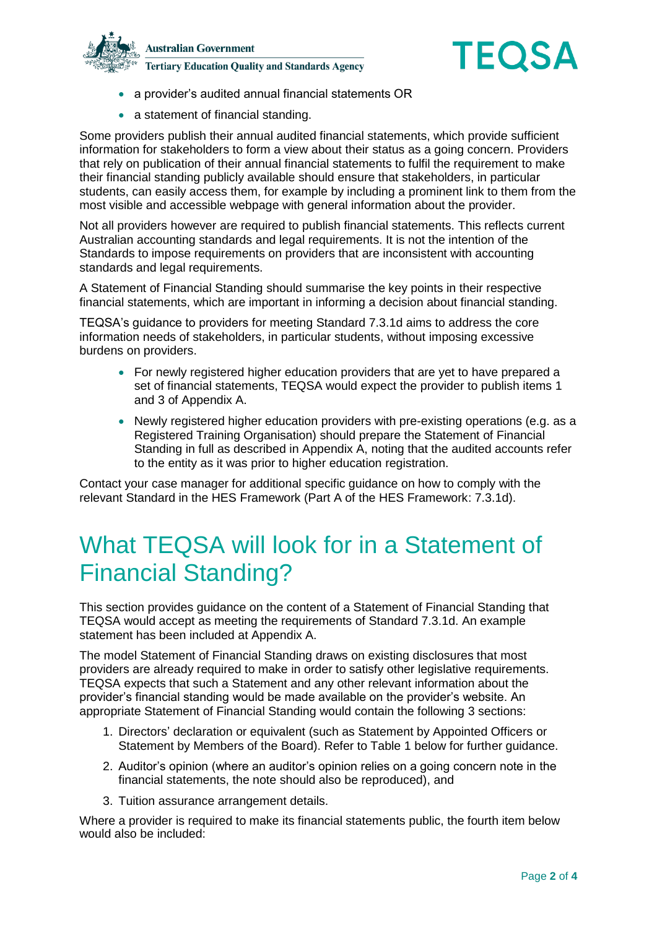



- a provider's audited annual financial statements OR
- a statement of financial standing.

Some providers publish their annual audited financial statements, which provide sufficient information for stakeholders to form a view about their status as a going concern. Providers that rely on publication of their annual financial statements to fulfil the requirement to make their financial standing publicly available should ensure that stakeholders, in particular students, can easily access them, for example by including a prominent link to them from the most visible and accessible webpage with general information about the provider.

Not all providers however are required to publish financial statements. This reflects current Australian accounting standards and legal requirements. It is not the intention of the Standards to impose requirements on providers that are inconsistent with accounting standards and legal requirements.

A Statement of Financial Standing should summarise the key points in their respective financial statements, which are important in informing a decision about financial standing.

TEQSA's guidance to providers for meeting Standard 7.3.1d aims to address the core information needs of stakeholders, in particular students, without imposing excessive burdens on providers.

- For newly registered higher education providers that are yet to have prepared a set of financial statements, TEQSA would expect the provider to publish items 1 and 3 of Appendix A.
- Newly registered higher education providers with pre-existing operations (e.g. as a Registered Training Organisation) should prepare the Statement of Financial Standing in full as described in Appendix A, noting that the audited accounts refer to the entity as it was prior to higher education registration.

Contact your case manager for additional specific guidance on how to comply with the relevant Standard in the HES Framework (Part A of the HES Framework: 7.3.1d).

# What TEQSA will look for in a Statement of Financial Standing?

This section provides guidance on the content of a Statement of Financial Standing that TEQSA would accept as meeting the requirements of Standard 7.3.1d. An example statement has been included at Appendix A.

The model Statement of Financial Standing draws on existing disclosures that most providers are already required to make in order to satisfy other legislative requirements. TEQSA expects that such a Statement and any other relevant information about the provider's financial standing would be made available on the provider's website. An appropriate Statement of Financial Standing would contain the following 3 sections:

- 1. Directors' declaration or equivalent (such as Statement by Appointed Officers or Statement by Members of the Board). Refer to Table 1 below for further guidance.
- 2. Auditor's opinion (where an auditor's opinion relies on a going concern note in the financial statements, the note should also be reproduced), and
- 3. Tuition assurance arrangement details.

Where a provider is required to make its financial statements public, the fourth item below would also be included: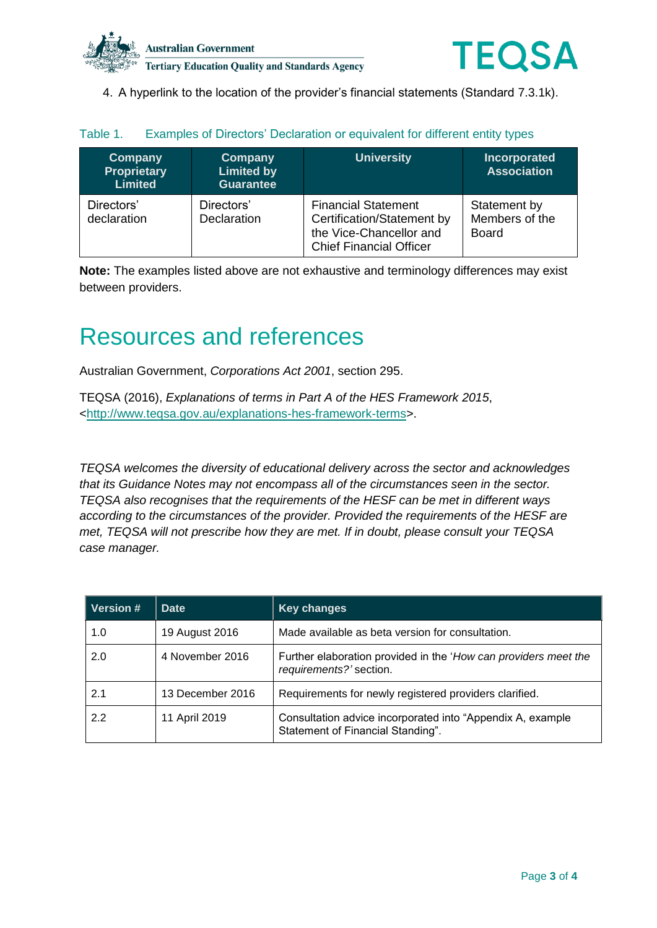



4. A hyperlink to the location of the provider's financial statements (Standard 7.3.1k).

| Company<br><b>Proprietary</b><br><b>Limited</b> | Company<br><b>Limited by</b><br><b>Guarantee</b> | <b>University</b>                                                                                                     | <b>Incorporated</b><br><b>Association</b>      |
|-------------------------------------------------|--------------------------------------------------|-----------------------------------------------------------------------------------------------------------------------|------------------------------------------------|
| Directors'<br>declaration                       | Directors'<br><b>Declaration</b>                 | <b>Financial Statement</b><br>Certification/Statement by<br>the Vice-Chancellor and<br><b>Chief Financial Officer</b> | Statement by<br>Members of the<br><b>Board</b> |

### Table 1. Examples of Directors' Declaration or equivalent for different entity types

**Note:** The examples listed above are not exhaustive and terminology differences may exist between providers.

## Resources and references

Australian Government, *Corporations Act 2001*, section 295.

TEQSA (2016), *Explanations of terms in Part A of the HES Framework 2015*, [<http://www.teqsa.gov.au/explanations-hes-framework-terms>](http://www.teqsa.gov.au/explanations-hes-framework-terms).

*TEQSA welcomes the diversity of educational delivery across the sector and acknowledges that its Guidance Notes may not encompass all of the circumstances seen in the sector. TEQSA also recognises that the requirements of the HESF can be met in different ways according to the circumstances of the provider. Provided the requirements of the HESF are met, TEQSA will not prescribe how they are met. If in doubt, please consult your TEQSA case manager.*

| <b>Version #</b> | <b>Date</b>      | <b>Key changes</b>                                                                              |
|------------------|------------------|-------------------------------------------------------------------------------------------------|
| 1.0              | 19 August 2016   | Made available as beta version for consultation.                                                |
| 2.0              | 4 November 2016  | Further elaboration provided in the 'How can providers meet the<br>requirements?' section.      |
| 2.1              | 13 December 2016 | Requirements for newly registered providers clarified.                                          |
| 2.2              | 11 April 2019    | Consultation advice incorporated into "Appendix A, example<br>Statement of Financial Standing". |